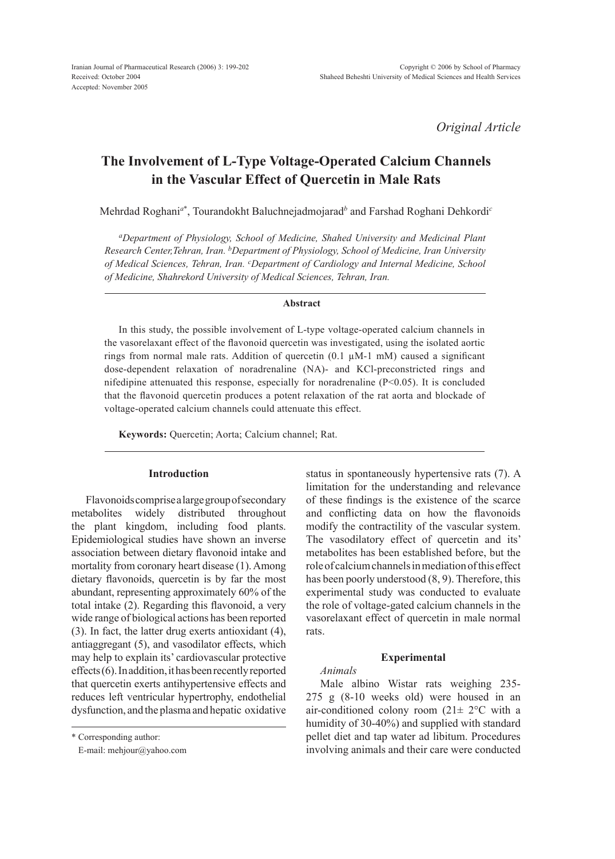*Original Article*

# **The Involvement of L-Type Voltage-Operated Calcium Channels in the Vascular Effect of Quercetin in Male Rats**

Mehrdad Roghani*<sup>a</sup>*\* , Tourandokht Baluchnejadmojarad*<sup>b</sup>* and Farshad Roghani Dehkordi*<sup>c</sup>*

*aDepartment of Physiology, School of Medicine, Shahed University and Medicinal Plant Research Center,Tehran, Iran. bDepartment of Physiology, School of Medicine, Iran University of Medical Sciences, Tehran, Iran. cDepartment of Cardiology and Internal Medicine, School of Medicine, Shahrekord University of Medical Sciences, Tehran, Iran.*

# **Abstract**

In this study, the possible involvement of L-type voltage-operated calcium channels in the vasorelaxant effect of the flavonoid quercetin was investigated, using the isolated aortic rings from normal male rats. Addition of quercetin (0.1 µM-1 mM) caused a significant dose-dependent relaxation of noradrenaline (NA)- and KCl-preconstricted rings and nifedipine attenuated this response, especially for noradrenaline  $(P<0.05)$ . It is concluded that the flavonoid quercetin produces a potent relaxation of the rat aorta and blockade of voltage-operated calcium channels could attenuate this effect.

**Keywords:** Quercetin; Aorta; Calcium channel; Rat.

# **Introduction**

Flavonoids comprise a large group of secondary metabolites widely distributed throughout the plant kingdom, including food plants. Epidemiological studies have shown an inverse association between dietary flavonoid intake and mortality from coronary heart disease (1). Among dietary flavonoids, quercetin is by far the most abundant, representing approximately 60% of the total intake (2). Regarding this flavonoid, a very wide range of biological actions has been reported (3). In fact, the latter drug exerts antioxidant (4), antiaggregant (5), and vasodilator effects, which may help to explain its' cardiovascular protective effects (6). In addition, it has been recently reported that quercetin exerts antihypertensive effects and reduces left ventricular hypertrophy, endothelial dysfunction, and the plasma and hepatic oxidative

\* Corresponding author:

E-mail: mehjour@yahoo.com

status in spontaneously hypertensive rats (7). A limitation for the understanding and relevance of these findings is the existence of the scarce and conflicting data on how the flavonoids modify the contractility of the vascular system. The vasodilatory effect of quercetin and its' metabolites has been established before, but the role of calcium channels in mediation of this effect has been poorly understood (8, 9). Therefore, this experimental study was conducted to evaluate the role of voltage-gated calcium channels in the vasorelaxant effect of quercetin in male normal rats.

#### **Experimental**

# *Animals*

Male albino Wistar rats weighing 235- 275 g (8-10 weeks old) were housed in an air-conditioned colony room  $(21 \pm 2^{\circ}C)$  with a humidity of 30-40%) and supplied with standard pellet diet and tap water ad libitum. Procedures involving animals and their care were conducted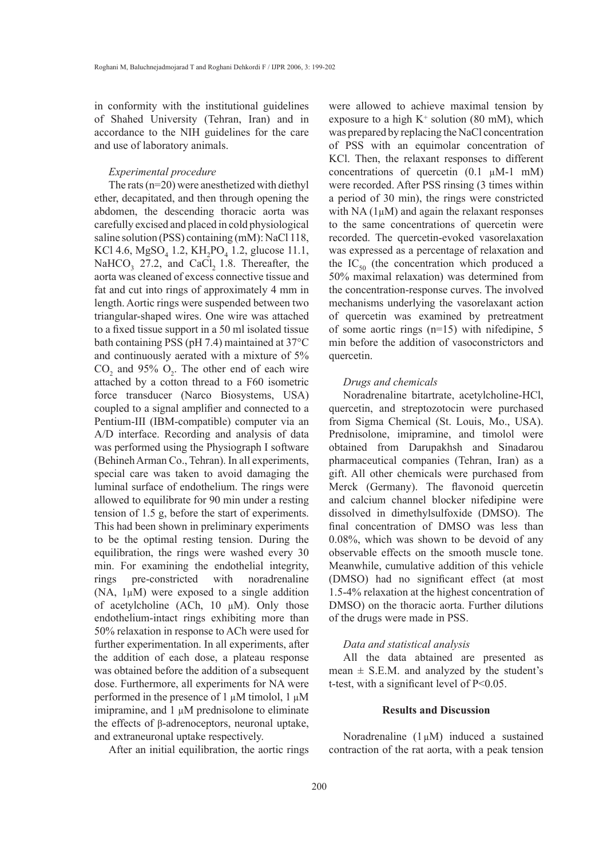in conformity with the institutional guidelines of Shahed University (Tehran, Iran) and in accordance to the NIH guidelines for the care and use of laboratory animals.

#### *Experimental procedure*

The rats (n=20) were anesthetized with diethyl ether, decapitated, and then through opening the abdomen, the descending thoracic aorta was carefully excised and placed in cold physiological saline solution (PSS) containing (mM): NaCl 118, KCl 4.6,  $MgSO_4$  1.2, KH<sub>2</sub>PO<sub>4</sub> 1.2, glucose 11.1, NaHCO<sub>3</sub> 27.2, and CaCl<sub>2</sub> 1.8. Thereafter, the aorta was cleaned of excess connective tissue and fat and cut into rings of approximately 4 mm in length. Aortic rings were suspended between two triangular-shaped wires. One wire was attached to a fixed tissue support in a 50 ml isolated tissue bath containing PSS (pH 7.4) maintained at 37°C and continuously aerated with a mixture of 5%  $CO<sub>2</sub>$  and 95%  $O<sub>2</sub>$ . The other end of each wire attached by a cotton thread to a F60 isometric force transducer (Narco Biosystems, USA) coupled to a signal amplifier and connected to a Pentium-III (IBM-compatible) computer via an A/D interface. Recording and analysis of data was performed using the Physiograph I software (Behineh Arman Co., Tehran). In all experiments, special care was taken to avoid damaging the luminal surface of endothelium. The rings were allowed to equilibrate for 90 min under a resting tension of 1.5 g, before the start of experiments. This had been shown in preliminary experiments to be the optimal resting tension. During the equilibration, the rings were washed every 30 min. For examining the endothelial integrity, rings pre-constricted with noradrenaline (NA, 1µM) were exposed to a single addition of acetylcholine (ACh, 10 µM). Only those endothelium-intact rings exhibiting more than 50% relaxation in response to ACh were used for further experimentation. In all experiments, after the addition of each dose, a plateau response was obtained before the addition of a subsequent dose. Furthermore, all experiments for NA were performed in the presence of 1  $\mu$ M timolol, 1  $\mu$ M imipramine, and  $1 \mu M$  prednisolone to eliminate the effects of β-adrenoceptors, neuronal uptake, and extraneuronal uptake respectively.

After an initial equilibration, the aortic rings

were allowed to achieve maximal tension by exposure to a high  $K^+$  solution (80 mM), which was prepared by replacing the NaCl concentration of PSS with an equimolar concentration of KCl. Then, the relaxant responses to different concentrations of quercetin  $(0.1 \mu M-1 \dot{m})$ were recorded. After PSS rinsing (3 times within a period of 30 min), the rings were constricted with  $NA(1\mu M)$  and again the relaxant responses to the same concentrations of quercetin were recorded. The quercetin-evoked vasorelaxation was expressed as a percentage of relaxation and the  $IC_{50}$  (the concentration which produced a 50% maximal relaxation) was determined from the concentration-response curves. The involved mechanisms underlying the vasorelaxant action of quercetin was examined by pretreatment of some aortic rings (n=15) with nifedipine, 5 min before the addition of vasoconstrictors and quercetin.

#### *Drugs and chemicals*

Noradrenaline bitartrate, acetylcholine-HCl, quercetin, and streptozotocin were purchased from Sigma Chemical (St. Louis, Mo., USA). Prednisolone, imipramine, and timolol were obtained from Darupakhsh and Sinadarou pharmaceutical companies (Tehran, Iran) as a gift. All other chemicals were purchased from Merck (Germany). The flavonoid quercetin and calcium channel blocker nifedipine were dissolved in dimethylsulfoxide (DMSO). The final concentration of DMSO was less than 0.08%, which was shown to be devoid of any observable effects on the smooth muscle tone. Meanwhile, cumulative addition of this vehicle (DMSO) had no significant effect (at most 1.5-4% relaxation at the highest concentration of DMSO) on the thoracic aorta. Further dilutions of the drugs were made in PSS.

# *Data and statistical analysis*

All the data abtained are presented as mean  $\pm$  S.E.M. and analyzed by the student's t-test, with a significant level of P<0.05.

## **Results and Discussion**

Noradrenaline  $(1 \mu M)$  induced a sustained contraction of the rat aorta, with a peak tension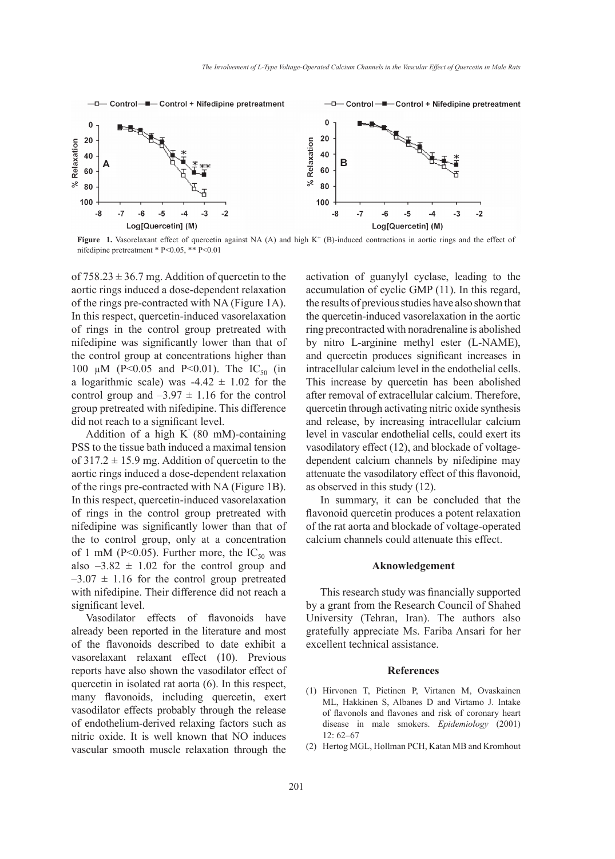

Figure 1. Vasorelaxant effect of quercetin against NA (A) and high K<sup>+</sup> (B)-induced contractions in aortic rings and the effect of nifedipine pretreatment \* P<0.05, \*\* P<0.01

of  $758.23 \pm 36.7$  mg. Addition of quercetin to the aortic rings induced a dose-dependent relaxation of the rings pre-contracted with NA (Figure 1A). In this respect, quercetin-induced vasorelaxation of rings in the control group pretreated with nifedipine was significantly lower than that of the control group at concentrations higher than 100  $\mu$ M (P<0.05 and P<0.01). The IC<sub>50</sub> (in a logarithmic scale) was  $-4.42 \pm 1.02$  for the control group and  $-3.97 \pm 1.16$  for the control group pretreated with nifedipine. This difference did not reach to a significant level.

Addition of a high  $K^+(80 \text{ mM})$ -containing PSS to the tissue bath induced a maximal tension of  $317.2 \pm 15.9$  mg. Addition of quercetin to the aortic rings induced a dose-dependent relaxation of the rings pre-contracted with NA (Figure 1B). In this respect, quercetin-induced vasorelaxation of rings in the control group pretreated with nifedipine was significantly lower than that of the to control group, only at a concentration of 1 mM (P<0.05). Further more, the  $IC_{50}$  was also  $-3.82 \pm 1.02$  for the control group and  $-3.07 \pm 1.16$  for the control group pretreated with nifedipine. Their difference did not reach a significant level.

Vasodilator effects of flavonoids have already been reported in the literature and most of the flavonoids described to date exhibit a vasorelaxant relaxant effect (10). Previous reports have also shown the vasodilator effect of quercetin in isolated rat aorta (6). In this respect, many flavonoids, including quercetin, exert vasodilator effects probably through the release of endothelium-derived relaxing factors such as nitric oxide. It is well known that NO induces vascular smooth muscle relaxation through the activation of guanylyl cyclase, leading to the accumulation of cyclic GMP (11). In this regard, the results of previous studies have also shown that the quercetin-induced vasorelaxation in the aortic ring precontracted with noradrenaline is abolished by nitro L-arginine methyl ester (L-NAME), and quercetin produces significant increases in intracellular calcium level in the endothelial cells. This increase by quercetin has been abolished after removal of extracellular calcium. Therefore, quercetin through activating nitric oxide synthesis and release, by increasing intracellular calcium level in vascular endothelial cells, could exert its vasodilatory effect (12), and blockade of voltagedependent calcium channels by nifedipine may attenuate the vasodilatory effect of this flavonoid, as observed in this study (12).

In summary, it can be concluded that the flavonoid quercetin produces a potent relaxation of the rat aorta and blockade of voltage-operated calcium channels could attenuate this effect.

# **Aknowledgement**

This research study was financially supported by a grant from the Research Council of Shahed University (Tehran, Iran). The authors also gratefully appreciate Ms. Fariba Ansari for her excellent technical assistance.

## **References**

- (1) Hirvonen T, Pietinen P, Virtanen M, Ovaskainen ML, Hakkinen S, Albanes D and Virtamo J. Intake of flavonols and flavones and risk of coronary heart disease in male smokers. *Epidemiology* (2001) 12: 62–67
- (2) Hertog MGL, Hollman PCH, Katan MB and Kromhout